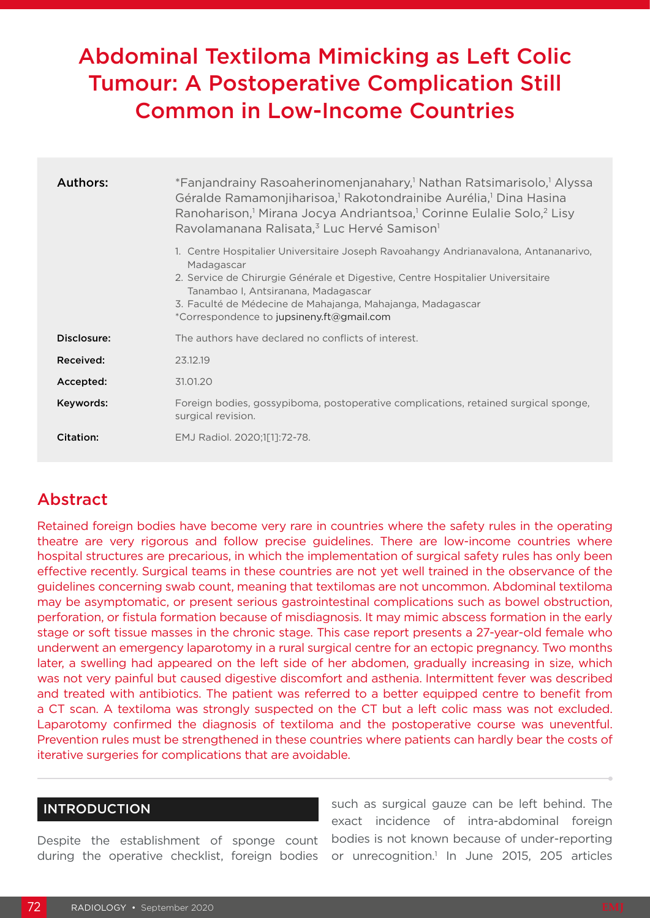# Abdominal Textiloma Mimicking as Left Colic Tumour: A Postoperative Complication Still Common in Low-Income Countries

| Authors:    | *Fanjandrainy Rasoaherinomenjanahary, <sup>1</sup> Nathan Ratsimarisolo, <sup>1</sup> Alyssa<br>Géralde Ramamonjiharisoa, <sup>1</sup> Rakotondrainibe Aurélia, <sup>1</sup> Dina Hasina<br>Ranoharison, <sup>1</sup> Mirana Jocya Andriantsoa, <sup>1</sup> Corinne Eulalie Solo, <sup>2</sup> Lisy<br>Ravolamanana Ralisata, <sup>3</sup> Luc Hervé Samison <sup>1</sup> |
|-------------|----------------------------------------------------------------------------------------------------------------------------------------------------------------------------------------------------------------------------------------------------------------------------------------------------------------------------------------------------------------------------|
|             | 1. Centre Hospitalier Universitaire Joseph Ravoahangy Andrianavalona, Antananarivo,<br>Madagascar<br>2. Service de Chirurgie Générale et Digestive, Centre Hospitalier Universitaire<br>Tanambao I, Antsiranana, Madagascar<br>3. Faculté de Médecine de Mahajanga, Mahajanga, Madagascar<br>*Correspondence to jupsineny.ft@gmail.com                                     |
| Disclosure: | The authors have declared no conflicts of interest.                                                                                                                                                                                                                                                                                                                        |
| Received:   | 23.12.19                                                                                                                                                                                                                                                                                                                                                                   |
| Accepted:   | 31.01.20                                                                                                                                                                                                                                                                                                                                                                   |
| Keywords:   | Foreign bodies, gossypiboma, postoperative complications, retained surgical sponge,<br>surgical revision.                                                                                                                                                                                                                                                                  |
| Citation:   | EMJ Radiol. 2020;1[1]:72-78.                                                                                                                                                                                                                                                                                                                                               |

## **Abstract**

Retained foreign bodies have become very rare in countries where the safety rules in the operating theatre are very rigorous and follow precise guidelines. There are low-income countries where hospital structures are precarious, in which the implementation of surgical safety rules has only been effective recently. Surgical teams in these countries are not yet well trained in the observance of the guidelines concerning swab count, meaning that textilomas are not uncommon. Abdominal textiloma may be asymptomatic, or present serious gastrointestinal complications such as bowel obstruction, perforation, or fistula formation because of misdiagnosis. It may mimic abscess formation in the early stage or soft tissue masses in the chronic stage. This case report presents a 27-year-old female who underwent an emergency laparotomy in a rural surgical centre for an ectopic pregnancy. Two months later, a swelling had appeared on the left side of her abdomen, gradually increasing in size, which was not very painful but caused digestive discomfort and asthenia. Intermittent fever was described and treated with antibiotics. The patient was referred to a better equipped centre to benefit from a CT scan. A textiloma was strongly suspected on the CT but a left colic mass was not excluded. Laparotomy confirmed the diagnosis of textiloma and the postoperative course was uneventful. Prevention rules must be strengthened in these countries where patients can hardly bear the costs of iterative surgeries for complications that are avoidable.

### INTRODUCTION

Despite the establishment of sponge count during the operative checklist, foreign bodies

such as surgical gauze can be left behind. The exact incidence of intra-abdominal foreign bodies is not known because of under-reporting or unrecognition.<sup>1</sup> In June 2015, 205 articles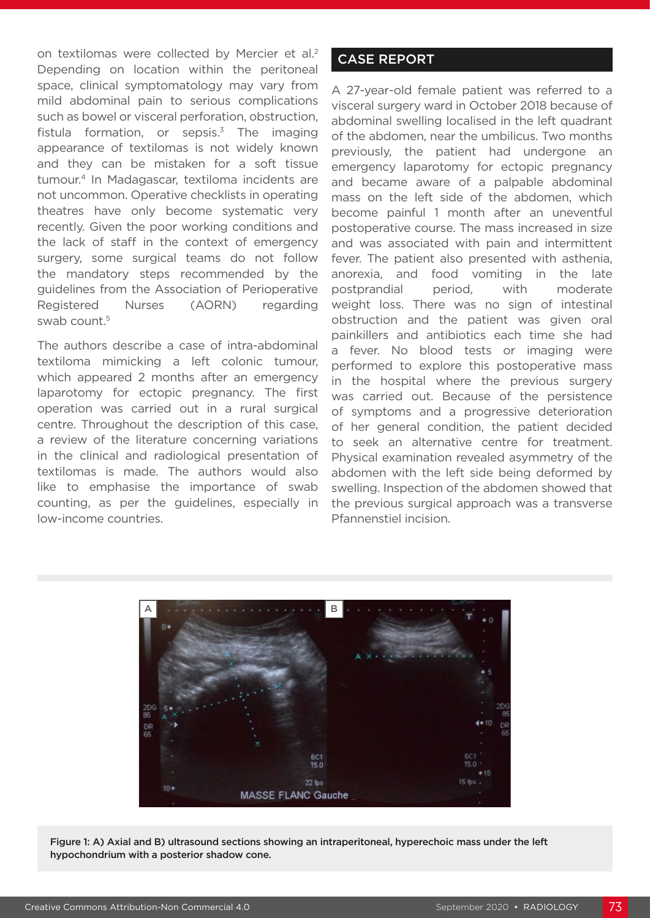on textilomas were collected by Mercier et al.<sup>2</sup> Depending on location within the peritoneal space, clinical symptomatology may vary from mild abdominal pain to serious complications such as bowel or visceral perforation, obstruction, fistula formation, or sepsis. $3$  The imaging appearance of textilomas is not widely known and they can be mistaken for a soft tissue tumour.4 In Madagascar, textiloma incidents are not uncommon. Operative checklists in operating theatres have only become systematic very recently. Given the poor working conditions and the lack of staff in the context of emergency surgery, some surgical teams do not follow the mandatory steps recommended by the guidelines from the Association of Perioperative Registered Nurses (AORN) regarding swab count.<sup>5</sup>

The authors describe a case of intra-abdominal textiloma mimicking a left colonic tumour, which appeared 2 months after an emergency laparotomy for ectopic pregnancy. The first operation was carried out in a rural surgical centre. Throughout the description of this case, a review of the literature concerning variations in the clinical and radiological presentation of textilomas is made. The authors would also like to emphasise the importance of swab counting, as per the guidelines, especially in low-income countries.

#### CASE REPORT

A 27-year-old female patient was referred to a visceral surgery ward in October 2018 because of abdominal swelling localised in the left quadrant of the abdomen, near the umbilicus. Two months previously, the patient had undergone an emergency laparotomy for ectopic pregnancy and became aware of a palpable abdominal mass on the left side of the abdomen, which become painful 1 month after an uneventful postoperative course. The mass increased in size and was associated with pain and intermittent fever. The patient also presented with asthenia, anorexia, and food vomiting in the late postprandial period, with moderate weight loss. There was no sign of intestinal obstruction and the patient was given oral painkillers and antibiotics each time she had a fever. No blood tests or imaging were performed to explore this postoperative mass in the hospital where the previous surgery was carried out. Because of the persistence of symptoms and a progressive deterioration of her general condition, the patient decided to seek an alternative centre for treatment. Physical examination revealed asymmetry of the abdomen with the left side being deformed by swelling. Inspection of the abdomen showed that the previous surgical approach was a transverse Pfannenstiel incision.



Figure 1: A) Axial and B) ultrasound sections showing an intraperitoneal, hyperechoic mass under the left hypochondrium with a posterior shadow cone.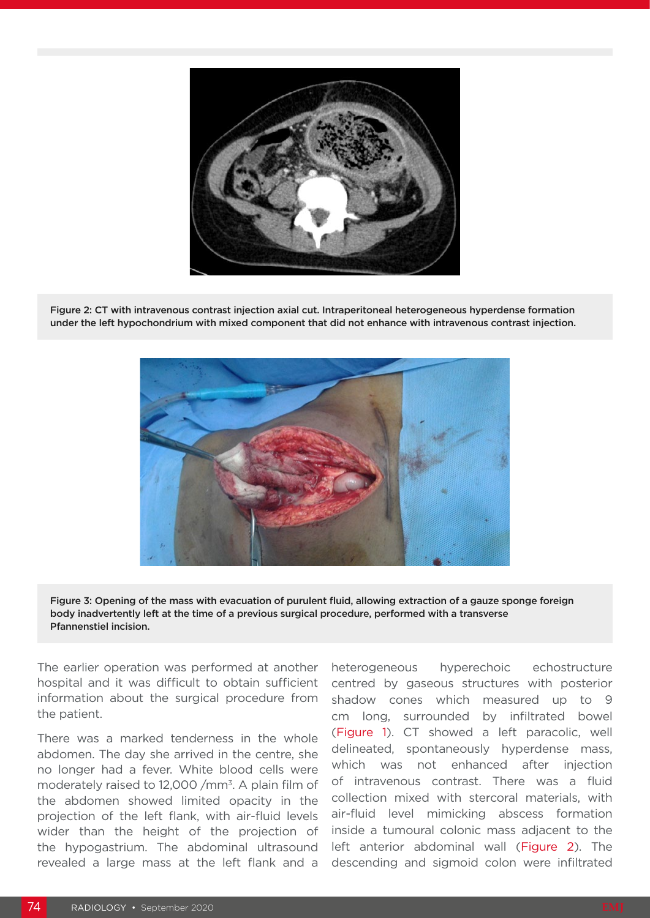

Figure 2: CT with intravenous contrast injection axial cut. Intraperitoneal heterogeneous hyperdense formation under the left hypochondrium with mixed component that did not enhance with intravenous contrast injection.



Figure 3: Opening of the mass with evacuation of purulent fluid, allowing extraction of a gauze sponge foreign body inadvertently left at the time of a previous surgical procedure, performed with a transverse Pfannenstiel incision.

The earlier operation was performed at another hospital and it was difficult to obtain sufficient information about the surgical procedure from the patient.

There was a marked tenderness in the whole abdomen. The day she arrived in the centre, she no longer had a fever. White blood cells were moderately raised to 12,000 /mm<sup>3</sup>. A plain film of the abdomen showed limited opacity in the projection of the left flank, with air-fluid levels wider than the height of the projection of the hypogastrium. The abdominal ultrasound revealed a large mass at the left flank and a

heterogeneous hyperechoic echostructure centred by gaseous structures with posterior shadow cones which measured up to 9 cm long, surrounded by infiltrated bowel (Figure 1). CT showed a left paracolic, well delineated, spontaneously hyperdense mass, which was not enhanced after injection of intravenous contrast. There was a fluid collection mixed with stercoral materials, with air-fluid level mimicking abscess formation inside a tumoural colonic mass adjacent to the left anterior abdominal wall (Figure 2). The descending and sigmoid colon were infiltrated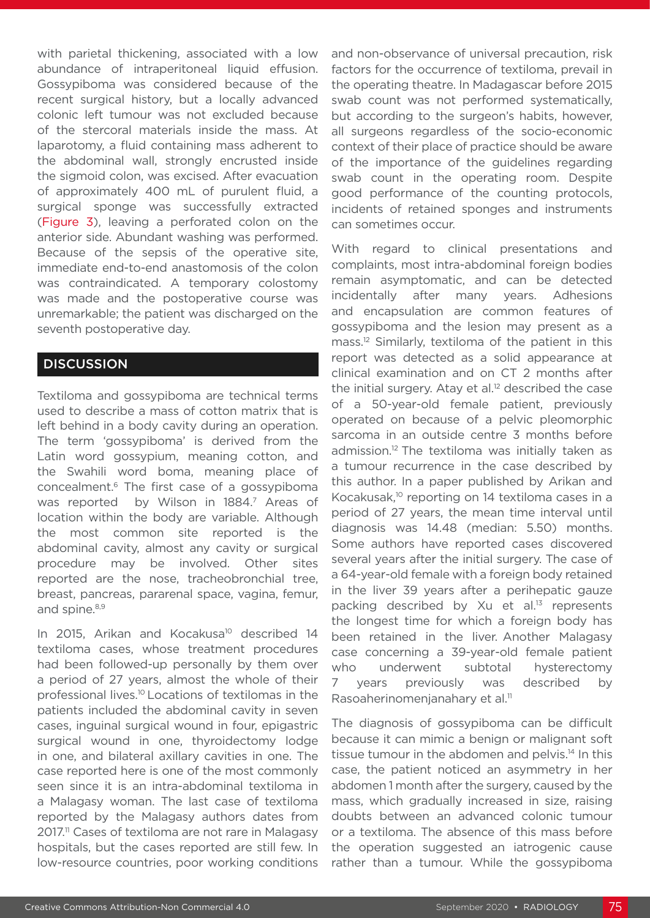with parietal thickening, associated with a low abundance of intraperitoneal liquid effusion. Gossypiboma was considered because of the recent surgical history, but a locally advanced colonic left tumour was not excluded because of the stercoral materials inside the mass. At laparotomy, a fluid containing mass adherent to the abdominal wall, strongly encrusted inside the sigmoid colon, was excised. After evacuation of approximately 400 mL of purulent fluid, a surgical sponge was successfully extracted (Figure 3), leaving a perforated colon on the anterior side. Abundant washing was performed. Because of the sepsis of the operative site, immediate end-to-end anastomosis of the colon was contraindicated. A temporary colostomy was made and the postoperative course was unremarkable; the patient was discharged on the seventh postoperative day.

#### **DISCUSSION**

Textiloma and gossypiboma are technical terms used to describe a mass of cotton matrix that is left behind in a body cavity during an operation. The term 'gossypiboma' is derived from the Latin word gossypium, meaning cotton, and the Swahili word boma, meaning place of concealment.6 The first case of a gossypiboma was reported by Wilson in 1884.<sup>7</sup> Areas of location within the body are variable. Although the most common site reported is the abdominal cavity, almost any cavity or surgical procedure may be involved. Other sites reported are the nose, tracheobronchial tree, breast, pancreas, pararenal space, vagina, femur, and spine.<sup>8,9</sup>

In 2015, Arikan and Kocakusa<sup>10</sup> described 14 textiloma cases, whose treatment procedures had been followed-up personally by them over a period of 27 years, almost the whole of their professional lives.10 Locations of textilomas in the patients included the abdominal cavity in seven cases, inguinal surgical wound in four, epigastric surgical wound in one, thyroidectomy lodge in one, and bilateral axillary cavities in one. The case reported here is one of the most commonly seen since it is an intra-abdominal textiloma in a Malagasy woman. The last case of textiloma reported by the Malagasy authors dates from 2017.<sup>11</sup> Cases of textiloma are not rare in Malagasy hospitals, but the cases reported are still few. In low-resource countries, poor working conditions

and non-observance of universal precaution, risk factors for the occurrence of textiloma, prevail in the operating theatre. In Madagascar before 2015 swab count was not performed systematically, but according to the surgeon's habits, however, all surgeons regardless of the socio-economic context of their place of practice should be aware of the importance of the guidelines regarding swab count in the operating room. Despite good performance of the counting protocols, incidents of retained sponges and instruments can sometimes occur.

With regard to clinical presentations and complaints, most intra-abdominal foreign bodies remain asymptomatic, and can be detected incidentally after many years. Adhesions and encapsulation are common features of gossypiboma and the lesion may present as a mass.12 Similarly, textiloma of the patient in this report was detected as a solid appearance at clinical examination and on CT 2 months after the initial surgery. Atay et al.<sup>12</sup> described the case of a 50-year-old female patient, previously operated on because of a pelvic pleomorphic sarcoma in an outside centre 3 months before admission.12 The textiloma was initially taken as a tumour recurrence in the case described by this author. In a paper published by Arikan and Kocakusak,10 reporting on 14 textiloma cases in a period of 27 years, the mean time interval until diagnosis was 14.48 (median: 5.50) months. Some authors have reported cases discovered several years after the initial surgery. The case of a 64-year-old female with a foreign body retained in the liver 39 years after a perihepatic gauze packing described by Xu et al.<sup>13</sup> represents the longest time for which a foreign body has been retained in the liver. Another Malagasy case concerning a 39-year-old female patient who underwent subtotal hysterectomy 7 years previously was described by Rasoaherinomenjanahary et al.<sup>11</sup>

The diagnosis of gossypiboma can be difficult because it can mimic a benign or malignant soft tissue tumour in the abdomen and pelvis.<sup>14</sup> In this case, the patient noticed an asymmetry in her abdomen 1 month after the surgery, caused by the mass, which gradually increased in size, raising doubts between an advanced colonic tumour or a textiloma. The absence of this mass before the operation suggested an iatrogenic cause rather than a tumour. While the gossypiboma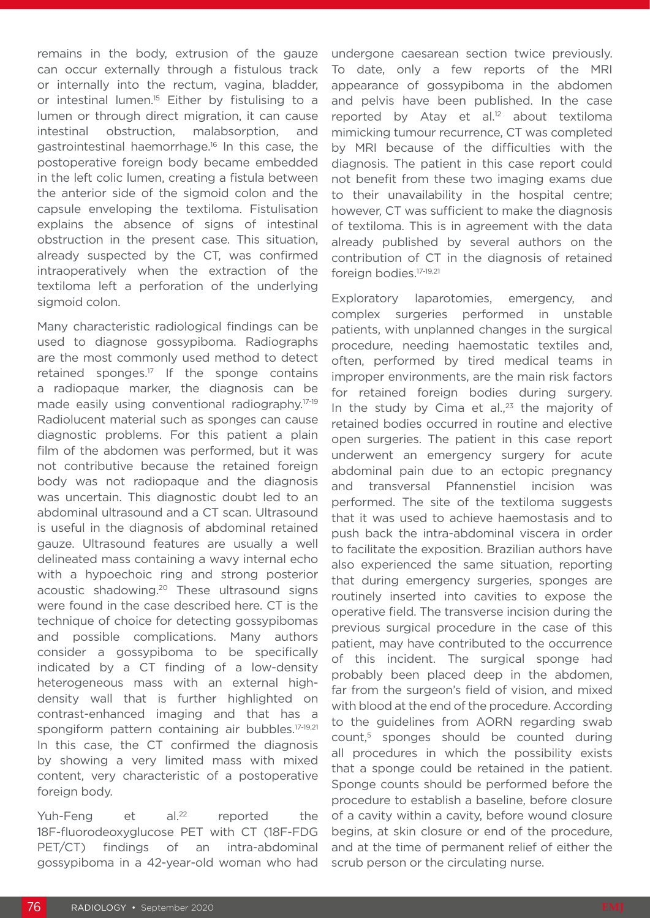remains in the body, extrusion of the gauze can occur externally through a fistulous track or internally into the rectum, vagina, bladder, or intestinal lumen.<sup>15</sup> Either by fistulising to a lumen or through direct migration, it can cause intestinal obstruction, malabsorption, and gastrointestinal haemorrhage.16 In this case, the postoperative foreign body became embedded in the left colic lumen, creating a fistula between the anterior side of the sigmoid colon and the capsule enveloping the textiloma. Fistulisation explains the absence of signs of intestinal obstruction in the present case. This situation, already suspected by the CT, was confirmed intraoperatively when the extraction of the textiloma left a perforation of the underlying sigmoid colon.

Many characteristic radiological findings can be used to diagnose gossypiboma. Radiographs are the most commonly used method to detect retained sponges. $17$  If the sponge contains a radiopaque marker, the diagnosis can be made easily using conventional radiography.17-19 Radiolucent material such as sponges can cause diagnostic problems. For this patient a plain film of the abdomen was performed, but it was not contributive because the retained foreign body was not radiopaque and the diagnosis was uncertain. This diagnostic doubt led to an abdominal ultrasound and a CT scan. Ultrasound is useful in the diagnosis of abdominal retained gauze. Ultrasound features are usually a well delineated mass containing a wavy internal echo with a hypoechoic ring and strong posterior acoustic shadowing.<sup>20</sup> These ultrasound signs were found in the case described here. CT is the technique of choice for detecting gossypibomas and possible complications. Many authors consider a gossypiboma to be specifically indicated by a CT finding of a low-density heterogeneous mass with an external highdensity wall that is further highlighted on contrast-enhanced imaging and that has a spongiform pattern containing air bubbles.<sup>17-19,21</sup> In this case, the CT confirmed the diagnosis by showing a very limited mass with mixed content, very characteristic of a postoperative foreign body.

Yuh-Feng et al.<sup>22</sup> reported the 18F-fluorodeoxyglucose PET with CT (18F-FDG PET/CT) findings of an intra-abdominal gossypiboma in a 42-year-old woman who had undergone caesarean section twice previously. To date, only a few reports of the MRI appearance of gossypiboma in the abdomen and pelvis have been published. In the case reported by Atay et al.<sup>12</sup> about textiloma mimicking tumour recurrence, CT was completed by MRI because of the difficulties with the diagnosis. The patient in this case report could not benefit from these two imaging exams due to their unavailability in the hospital centre; however, CT was sufficient to make the diagnosis of textiloma. This is in agreement with the data already published by several authors on the contribution of CT in the diagnosis of retained foreign bodies.17-19,21

Exploratory laparotomies, emergency, and complex surgeries performed in unstable patients, with unplanned changes in the surgical procedure, needing haemostatic textiles and, often, performed by tired medical teams in improper environments, are the main risk factors for retained foreign bodies during surgery. In the study by Cima et al.,<sup>23</sup> the majority of retained bodies occurred in routine and elective open surgeries. The patient in this case report underwent an emergency surgery for acute abdominal pain due to an ectopic pregnancy and transversal Pfannenstiel incision was performed. The site of the textiloma suggests that it was used to achieve haemostasis and to push back the intra-abdominal viscera in order to facilitate the exposition. Brazilian authors have also experienced the same situation, reporting that during emergency surgeries, sponges are routinely inserted into cavities to expose the operative field. The transverse incision during the previous surgical procedure in the case of this patient, may have contributed to the occurrence of this incident. The surgical sponge had probably been placed deep in the abdomen, far from the surgeon's field of vision, and mixed with blood at the end of the procedure. According to the guidelines from AORN regarding swab count,5 sponges should be counted during all procedures in which the possibility exists that a sponge could be retained in the patient. Sponge counts should be performed before the procedure to establish a baseline, before closure of a cavity within a cavity, before wound closure begins, at skin closure or end of the procedure, and at the time of permanent relief of either the scrub person or the circulating nurse.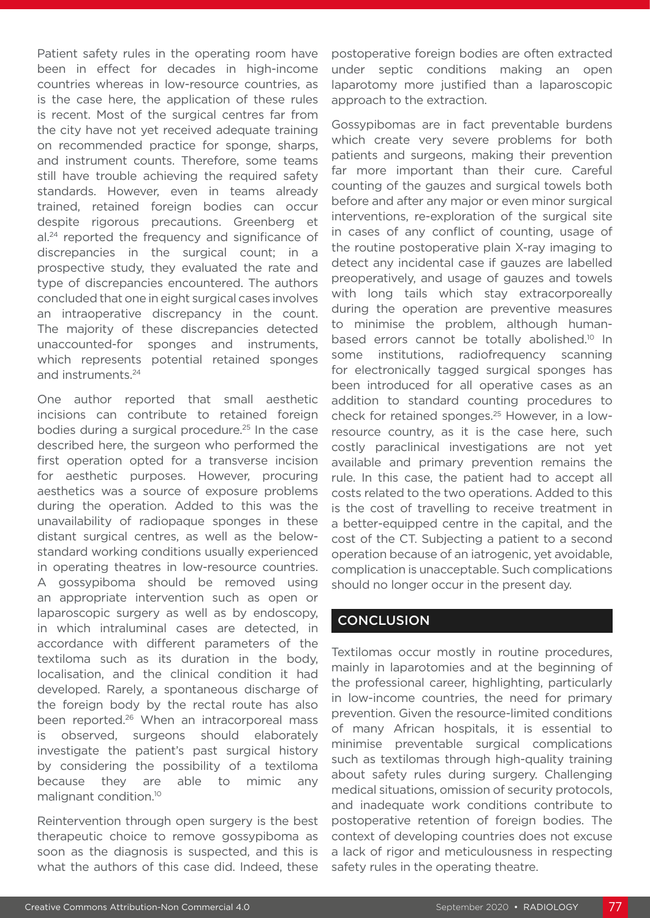Patient safety rules in the operating room have been in effect for decades in high-income countries whereas in low-resource countries, as is the case here, the application of these rules is recent. Most of the surgical centres far from the city have not yet received adequate training on recommended practice for sponge, sharps, and instrument counts. Therefore, some teams still have trouble achieving the required safety standards. However, even in teams already trained, retained foreign bodies can occur despite rigorous precautions. Greenberg et al.<sup>24</sup> reported the frequency and significance of discrepancies in the surgical count; in a prospective study, they evaluated the rate and type of discrepancies encountered. The authors concluded that one in eight surgical cases involves an intraoperative discrepancy in the count. The majority of these discrepancies detected unaccounted-for sponges and instruments, which represents potential retained sponges and instruments.24

One author reported that small aesthetic incisions can contribute to retained foreign bodies during a surgical procedure.<sup>25</sup> In the case described here, the surgeon who performed the first operation opted for a transverse incision for aesthetic purposes. However, procuring aesthetics was a source of exposure problems during the operation. Added to this was the unavailability of radiopaque sponges in these distant surgical centres, as well as the belowstandard working conditions usually experienced in operating theatres in low-resource countries. A gossypiboma should be removed using an appropriate intervention such as open or laparoscopic surgery as well as by endoscopy, in which intraluminal cases are detected, in accordance with different parameters of the textiloma such as its duration in the body, localisation, and the clinical condition it had developed. Rarely, a spontaneous discharge of the foreign body by the rectal route has also been reported.<sup>26</sup> When an intracorporeal mass is observed, surgeons should elaborately investigate the patient's past surgical history by considering the possibility of a textiloma because they are able to mimic any malignant condition.10

Reintervention through open surgery is the best therapeutic choice to remove gossypiboma as soon as the diagnosis is suspected, and this is what the authors of this case did. Indeed, these postoperative foreign bodies are often extracted under septic conditions making an open laparotomy more justified than a laparoscopic approach to the extraction.

Gossypibomas are in fact preventable burdens which create very severe problems for both patients and surgeons, making their prevention far more important than their cure. Careful counting of the gauzes and surgical towels both before and after any major or even minor surgical interventions, re-exploration of the surgical site in cases of any conflict of counting, usage of the routine postoperative plain X-ray imaging to detect any incidental case if gauzes are labelled preoperatively, and usage of gauzes and towels with long tails which stay extracorporeally during the operation are preventive measures to minimise the problem, although humanbased errors cannot be totally abolished.<sup>10</sup> In some institutions, radiofrequency scanning for electronically tagged surgical sponges has been introduced for all operative cases as an addition to standard counting procedures to check for retained sponges.25 However, in a lowresource country, as it is the case here, such costly paraclinical investigations are not yet available and primary prevention remains the rule. In this case, the patient had to accept all costs related to the two operations. Added to this is the cost of travelling to receive treatment in a better-equipped centre in the capital, and the cost of the CT. Subjecting a patient to a second operation because of an iatrogenic, yet avoidable, complication is unacceptable. Such complications should no longer occur in the present day.

#### **CONCLUSION**

Textilomas occur mostly in routine procedures, mainly in laparotomies and at the beginning of the professional career, highlighting, particularly in low-income countries, the need for primary prevention. Given the resource-limited conditions of many African hospitals, it is essential to minimise preventable surgical complications such as textilomas through high-quality training about safety rules during surgery. Challenging medical situations, omission of security protocols, and inadequate work conditions contribute to postoperative retention of foreign bodies. The context of developing countries does not excuse a lack of rigor and meticulousness in respecting safety rules in the operating theatre.